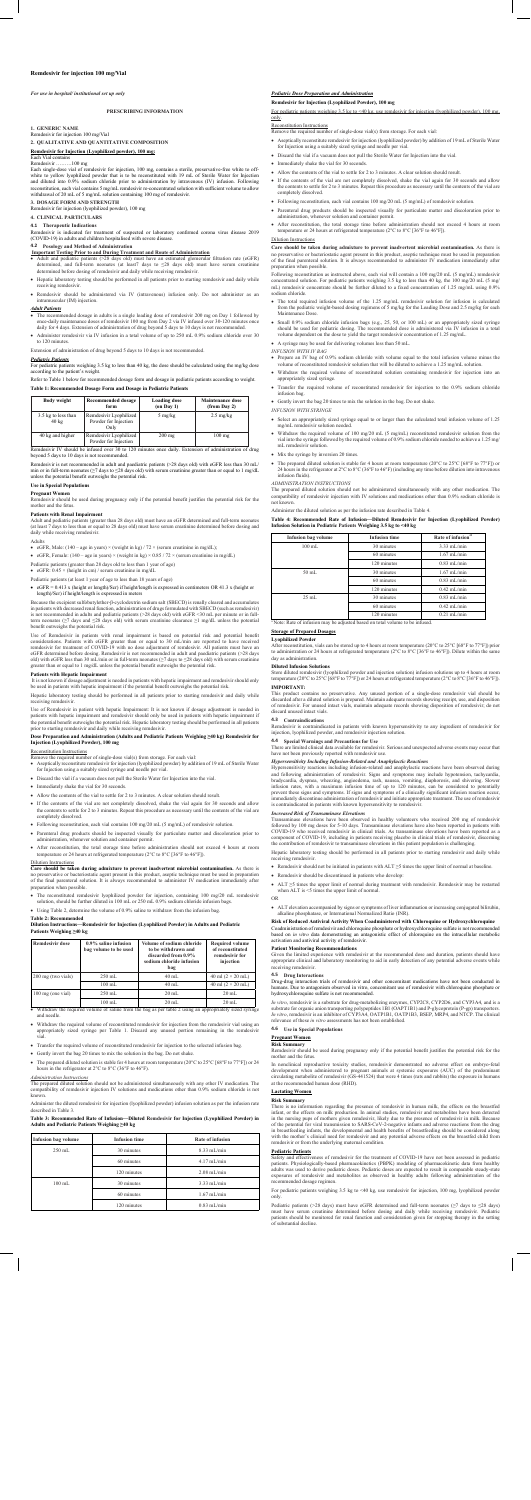# **Remdesivir for injection 100 mg/Vial**

*For use in hospital/ institutional set up only*

**PRESCRIBING INFORMATION**

### **1. GENERIC NAME**

Remdesivir for injection 100 mg/Vial

### **2. QUALITATIVE AND QUANTITATIVE COMPOSITION**

# **Remdesivir for Injection (Lyophilized powder), 100 mg:**

#### Each Vial contains<br>Remdesivir  $\frac{3}{100}$  mg

Each single-dose vial of remdesivir for injection, 100 mg, contains a sterile, preservative-free white to offwhite to yellow lyophilized powder that is to be reconstituted with 19 mL of Sterile Water for Injection and diluted into 0.9% sodium chloride prior to administration by intravenous (IV) infusion. Following reconstitution, each vial contains 5 mg/mL remdesivir re-concentrated solution with sufficient volume to allow withdrawal of 20 mL of 5 mg/mL solution containing 100 mg of remdesivir.

# **3. DOSAGE FORM AND STRENGTH**

Remdesivir for injection (lyophilized powder), 100 mg

# **4. CLINICAL PARTICULARS**

**4.1 Therapeutic Indications** Remdesivir is indicated for treatment of suspected or laboratory confirmed corona virus disease 2019 (COVID-19) in adults and children hospitalised with severe disease.

# **4.2 Posology and Method of Administration**

- **Important Testing Prior to and During Treatment and Route of Administration**<br>• Adult and pediatric patients (>28 days old) must have an estimated glomerular filtration rate (eGFR) determined, and full-term neonates (at least7 days to ≤28 days old) must have serum creatinine determined before dosing of remdesivir and daily while receiving rem
- • Hepatic laboratory testing should be performed in all patients prior to starting remdesivir and daily while receiving remdesivir.
- Remdesivir should be administered via IV (intravenous) infusion only. Do not administer as an intramuscular (IM) injection.

Remdesivir IV should be infused over 30 to 120 minutes once daily. Extension of administration of drug beyond 5 days to 10 days is not recommended.

#### *Adult Patients*

- The recommended dosage in adults is a single loading dose of remdesivir 200 mg on Day 1 followed by<br>once-daily maintenance doses of remdesivir 100 mg from Day 2 via IV infused over 30-120 minutes once<br>daily for 4 days. E
- • Administer remdesivir via IV infusion in a total volume of up to 250 mL 0.9% sodium chloride over 30 to  $120 \text{ min}$

- eGFR, Male:  $(140 age \text{ in years}) \times (weight \text{ in kg}) / 72 \times (serum creationine \text{ in mg/dL});$
- eGFR, Female: (140 age in years)  $\times$  (weight in kg)  $\times$  0.85 / 72  $\times$  (serum creatinine in mg/dL)
- Pediatric patients (greater than 28 days old to less than 1 year of age) • eGFR:  $0.45 \times$  (height in cm) / serum creatinine in mg/dL
- Pediatric patients (at least 1 year of age to less than 18 years of age)
- • eGFR = 0.413 x (height or length)/Scr) if height/length is expressed in centimeters OR 41.3 x (height or
- length)/Scr) if height/length is expressed in meters

Extension of administration of drug beyond 5 days to 10 days is not recommended.

#### *Pediatric Patients*

For pediatric patients weighing 3.5 kg to less than 40 kg, the dose should be calculated using the mg/kg dose according to the patient's weight.

Use of Remdesivir in patients with renal impairment is based on potential risk and potential benefit considerations. Patients with eGFR greater than or equal to 30 mL/min are reported to have received<br>remdesivir for treatment of COVID-19 with no dose adjustment of remdesivir. All patients must have an<br>eGFR determined bef

# Refer to Table 1 below for recommended dosage form and dosage in pediatric patients according to weight. **Table 1: Recommended Dosage Form and Dosage in Pediatric Patients**

| <b>Body weight</b>                     | Recommended dosage<br>form                             | <b>Loading dose</b><br>$(on$ Day $1)$ | Maintenance dose<br>(from Day 2) |
|----------------------------------------|--------------------------------------------------------|---------------------------------------|----------------------------------|
| 3.5 kg to less than<br>$40 \text{ kg}$ | Remdesivir Lyophilized<br>Powder for Injection<br>Only | $5 \text{ mg/kg}$                     | $2.5 \text{ mg/kg}$              |
| 40 kg and higher                       | Remdesivir Lyophilized<br>Powder for Injection         | $200$ mg                              | $100$ mg                         |

Use of Remdesivir in patient with hepatic Impairment: It is not known if dosage adjustment is needed in<br>patients with hepatic impairment and remdesivir should only be used in patients with hepatic impairment if<br>the potenti prior to starting remdesivir and daily while receiving remdesivir.

Remdesivir is not recommended in adult and paediatric patients (>28 days old) with eGFR less than 30 mL/ min or in full-term neonates (≥7 days to ≤28 days old) with serum creatinine greater than or equal to 1 mg/dL unless the potential benefit outweighs the potential risk.

# **Use in Special Populations**

- Reconstitution Instructions<br>Remove the required number of single-dose vial(s) from storage. For each vial:
- • Aseptically reconstitute remdesivir for injection (lyophilized powder) by addition of 19 mL of Sterile Water for Injection using a suitably sized syringe and needle per vial.
- • Discard the vial if a vacuum does not pull the Sterile Water for Injection into the vial.

#### *<u>tric Dose Preparation and </u>*

# **Pregnant Women**

Remdesivir should be used during pregnancy only if the potential benefit justifies the potential risk for the mother and the fetus.

### **Patients with Renal Impairment**

Adult and pediatric patients (greater than 28 days old) must have an eGFR determined and full-term neonates (at least 7 days to less than or equal to 28 days old) must have serum creatinine determined before dosing and daily while receiving remdesivir.

Adults

- preparation when possible. • The reconstituted remdesivir lyophilized powder for injection, containing 100 mg/20 mL remdesivir solution, should be further diluted in 100 mL or 250 mL 0.9% sodium chloride infusion bags.
- 
- Using Table 2, determine the volume of 0.9% saline to withdraw from the infusion bag.

Because the excipient sulfobutylether-β-cyclodextrin sodium salt (SBECD) is renally cleared and accumulates in patients with decreased renal function, administration of drugs formulated with SBECD (such as remdesivir) is not recommended in adults and pediatric patients (>28 days old) with eGFR <30 mL per minute or in fullterm neonates (≥7 days and ≤28 days old) with serum creatinine clearance ≥1 mg/dL unless the potential benefit outweighs the potential risk.

- Withdraw the required volume of saline from the bag as per table 2 using an appropriately sized syringe and needle.
- Withdraw the required volume of reconstituted remdesivir for injection from the remdesivir vial using an appropriately sized syringe per Table 1. Discard any unused portion remaining in the remdesivir vial.
- Transfer the required volume of reconstituted remdesivir for injection to the selected infusion bag.
- • Gently invert the bag 20 times to mix the solution in the bag. Do not shake.
- The prepared diluted solution is stable for 4 hours at room temperature (20 $^{\circ}$ C to 25 $^{\circ}$ C [68 $^{\circ}$ F to 77 $^{\circ}$ F]) or 24 hours in the refrigerator at 2°C to 8°C (36°F to 46°F).

### For pediatric patients weighing 3.5 kg to <40 kg, use remdesivir for injection (lyophilized powder), 100 mg, only.

- • Aseptically reconstitute remdesivir for injection (lyophilized powder) by addition of 19 mL of Sterile Water for Injection using a suitably sized syringe and needle per vial.
- • Discard the vial if a vacuum does not pull the Sterile Water for Injection into the vial.
- Immediately shake the vial for 30 seconds
- • Allow the contents of the vial to settle for 2 to 3 minutes. A clear solution should result.
- If the contents of the vial are not completely dissolved, shake the vial again for 30 seconds and allow the contents to settle for 2 to 3 minutes. Repeat this procedure as necessary until the contents of the vial are completely dissolved.
- • Following reconstitution, each vial contains 100 mg/20 mL (5 mg/mL) of remdesivir solution.
- • Parenteral drug products should be inspected visually for particulate matter and discoloration prior to administration, whenever solution and container permit.
- After reconstitution, the total storage time before administration should not exceed 4 hours at room temperature or 24 hours at refrigerated temperature (2°C to 8°C [36°F to 46°F]).

# **Patients with Hepatic Impairment**

It is not known if dosage adjustment is needed in patients with hepatic impairment and remdesivir should only be used in patients with hepatic impairment if the potential benefit outweighs the potential risk.

Hepatic laboratory testing should be performed in all patients prior to starting remdesivir and daily while receiving remdesivir.

# **Dose Preparation and Administration (Adults and Pediatric Patients Weighing ≥40 kg) Remdesivir for Injection (Lyophilized Powder), 100 mg**

- The total required infusion volume of the 1.25 mg/mL remdesivir solution for infusion is calculated from the pediatric weight-based dosing regimens of 5 mg/kg for the Loading Dose and 2.5 mg/kg for each Maintenance Dose.
- Small 0.9% sodium chloride infusion bags (e.g., 25, 50, or 100 mL) or an appropriately sized syringe should be used for pediatric dosing. The recommended dose is administered via IV infusion in a total volume dependent
- • A syringe may be used for delivering volumes less than 50 mL.
- *INFUSION WITH IV BAG*
- • Prepare an IV bag of 0.9% sodium chloride with volume equal to the total infusion volume minus the volume of reconstituted remdesivir solution that will be diluted to achieve a 1.25 mg/mL solution.
- • Withdraw the required volume of reconstituted solution containing remdesivir for injection into an appropriately sized syringe.
- Transfer the required volume of reconstituted remdesivir for injection to the 0.9% sodium chloride infusion bag.
- • Gently invert the bag 20 times to mix the solution in the bag. Do not shake.

- Select an appropriately sized syringe equal to or larger than the calculated total infusion volume of 1.25 mg/mL remdesivir solution needed.
- Withdraw the required volume of 100 mg/20 mL (5 mg/mL) reconstituted remdesivir solution from the vial into the syringe followed by the required volume of 0.9% sodium chloride needed to achieve a 1.25 mg/ mL remdesivir solution.

• The prepared diluted solution is stable for 4 hours at room temperature (20 $^{\circ}$ C to 25 $^{\circ}$ C [68 $^{\circ}$ F to 77 $^{\circ}$ F]) or 24 hours in the refrigerator at 2°C to 8°C (36°F to 46°F) (including any time before dilution infusion fluids).

# Dilution Instructions

# **Care should be taken during admixture to prevent inadvertent microbial contamination.** As there is<br>no preservative or bacteriostatic agent present in this product, aseptic technique must be used in preparation<br>of the fina

This product contains no preservative. Any unused portion of a single-dose remdesivir vial should be<br>discarded after a diluted solution is prepared. Maintain adequate records showing receipt, use, and disposition<br>of remdes discard unused intact vials.

There are limited clinical data available for remdesivir. Serious and unexpected adverse events may occur that have not been previously reported with remdesivir use

Hypersensitivity reactions including infusion-related and anaphylactic reactions have been observed during and following administration of remdesivir. Signs and symptoms may include hypotension, tachycardia

- Immediately shake the vial for 30 seconds
- Allow the contents of the vial to settle for 2 to 3 minutes. A clear solution should result.
- If the contents of the vial are not completely dissolved, shake the vial again for 30 seconds and allow the contents to settle for 2 to 3 minutes. Repeat this procedure as necessary until the contents of the vial are completely dissolved.
- Following reconstitution, each vial contains 100 mg/20 mL (5 mg/mL) of remdesivir solution.
- • Parenteral drug products should be inspected visually for particulate matter and discoloration prior to administration, whenever solution and container permit.
- After reconstitution, the total storage time before administration should not exceed 4 hours at room temperature or 24 hours at refrigerated temperature (2°C to 8°C [36°F to 46°F]).

### **Table 2: Recommended**

bradycardia, dyspnea, wheezing, angioedema, rash, nausea, vomiting, diaphoresis, and shivering. Slower infusion rates, with a maximum infusion time of up to 120 minutes, can be considered to potentially prevent these signs and symptoms. If signs and symptoms of a clinically significant infusion reaction occur, immediately discontinue administration of remdesivir and initiate appropriate treatment. The use of remdesivir is contraindicated in patients with known hypersensitivity to remdesivir.

# **Dilution Instructions—Remdesivir for Injection (Lyophilized Powder) in Adults and Pediatric Patients Weighing ≥40 kg**

| <b>Remdesivir dose</b> | $0.9\%$ saline infusion<br>bag volume to be used | Volume of sodium chloride<br>to be withdrawn and<br>discarded from 0.9%<br>sodium chloride infusion<br>bag | <b>Required volume</b><br>of reconstituted<br>remdesivir for<br>injection |
|------------------------|--------------------------------------------------|------------------------------------------------------------------------------------------------------------|---------------------------------------------------------------------------|
| 200 mg (two vials)     | $250$ mL                                         | $40$ mL                                                                                                    | 40 ml $(2 \times 20$ mL)                                                  |
|                        | $100 \text{ mL}$                                 | $40$ mL                                                                                                    | 40 ml $(2 \times 20$ mL)                                                  |
| 100 mg (one vial)      | $250$ mL                                         | $20 \text{ mL}$                                                                                            | $20 \text{ mL}$                                                           |
|                        | $100 \text{ mL}$                                 | $20 \text{ mL}$                                                                                            | $20$ mL                                                                   |

#### *Administration Instructions*

The prepared diluted solution should not be administered simultaneously with any other IV medication. The compatibility of remdesivir injection IV solutions and medications other than 0.9% sodium chloride is not known.

Administer the diluted remdesivir for injection (lyophilized powder) infusion solution as per the infusion rate described in Table 3.

*In vitro,* remdesivir is a substrate for drug-metabolizing enzymes, CYP2C8, CYP2D6, and CYP3A4, and is a<br>substrate for organic anion transporting polypeptides 1B1 (OAPT1B1) and P-glycoprotein (P-gp) transporters.<br>*In vitr* relevance of these *in vitro* assessments has not been established.

### **Table 3: Recommended Rate of Infusion—Diluted Remdesivir for Injection (Lyophilized Powder) in Adults and Pediatric Patients Weighing ≥40 kg**

| <b>Infusion bag volume</b> | <b>Infusion time</b> | Rate of infusion |
|----------------------------|----------------------|------------------|
| $250$ mL                   | 30 minutes           | $8.33$ mL/min    |
|                            | 60 minutes           | $4.17$ mL/min    |
|                            | 120 minutes          | $2.08$ mL/min    |
| $100$ mL                   | 30 minutes           | $3.33$ mL/min    |
|                            | 60 minutes           | $1.67$ mL/min    |
|                            | 120 minutes          | $0.83$ mL/min    |

In nonclinical reproductive toxicity studies, remdesivir demonstrated no adverse effect on embryo-fetal<br>development when administered to pregnant animals at systemic exposures (AUC) of the predominant<br>circulating metabolit at the recommended human dose (RHD).

**Remdesivir for Injection (Lyophilized Powder), 100 mg**

Reconstitution Instructions

Remove the required number of single-dose vial(s) from storage. For each vial:

Pediatric patients (>28 days) must have eGFR determined and full-term neonates ( $\geq$ 7 days to  $\leq$ 28 days) must have serum creatinine determined before dosing and daily while receiving remdesivir. Pediatric patients should be monitored for renal function and consideration given for stopping therapy in the setting of substantial decline.

# Dilution Instructions

**Care should be taken during admixture to prevent inadvertent microbial contamination.** As there is no preservative or bacteriostatic agent present in this product, aseptic technique must be used in preparation of the final parenteral solution. It is always recommended to administer IV medication immediately after preparation when possible.

Following reconstitution as instructed above, each vial will contain a 100 mg/20 mL (5 mg/mL) remdesivir concentrated solution. For pediatric patients weighing 3.5 kg to less than 40 kg, the 100 mg/20 mL (5 mg/ mL) remdesivir concentrate should be further diluted to a fixed concentration of 1.25 mg/mL using 0.9% sodium chloride.

# *INFUSION WITH SYRINGE*

# • Mix the syringe by inversion 20 times.

# *ADMINISTRATION INSTRUCTIONS*

The prepared diluted solution should not be administered simultaneously with any other medication. The compatibility of remdesivir injection with IV solutions and medications other than 0.9% sodium chloride is not known.

Administer the diluted solution as per the infusion rate described in Table 4.

**Table 4: Recommended Rate of Infusion—Diluted Remdesivir for Injection (Lyophilized Powder) Infusion Solution in Pediatric Patients Weighing 3.5 kg to <40 kg**

| <b>Infusion bag volume</b> | <b>Infusion time</b> | Rate of infusion |
|----------------------------|----------------------|------------------|
| $100$ mL                   | 30 minutes           | $3.33$ mL/min    |
|                            | 60 minutes           | $1.67$ mL/min    |
|                            | 120 minutes          | $0.83$ mL/min    |
| $50$ mL                    | 30 minutes           | $1.67$ mL/min    |
|                            | 60 minutes           | $0.83$ mL/min    |
|                            | 120 minutes          | $0.42$ mL/min    |
| $25 \text{ mL}$            | 30 minutes           | $0.83$ mL/min    |
|                            | 60 minutes           | $0.42$ mL/min    |
|                            | 120 minutes          | $0.21$ mL/min    |

<sup>a</sup>Note: Rate of infusion may be adjusted based on total volume to be infused.

# **Storage of Prepared Dosages**

# **Lyophilized Powder**

After reconstitution, vials can be stored up to 4 hours at room temperature (20°C to 25°C [68°F to 77°F]) prior to administration or 24 hours at refrigerated temperature (2°C to 8°C [36°F to 46°F]). Dilute within the same day as administration.

# **Diluted Infusion Solutions**

Store diluted remdesivir (lyophilized powder and injection solution) infusion solutions up to 4 hours at room temperature (20°C to 25°C [68°F to 77°F]) or 24 hours at refrigerated temperature (2°C to 8°C [36°F to 46°F]). **IMPORTANT:**

# **4.3 Contraindications**

Remdesivir is contraindicated in patients with known hypersensitivity to any ingredient of remdesivir for injection, lyophilized powder, and remdesivir injection solution.

# **4.4 Special Warnings and Precautions for Use**

# *Hypersensitivity Including Infusion-Related and Anaphylactic Reactions*

### *Increased Risk of Transaminase Elevations*

Transaminase elevations have been observed in healthy volunteers who received 200 mg of remdesivir followed by 100 mg doses for 5-10 days. Transaminase elevations have also been reported in patients with COVID-19 who received remdesivir in clinical trials. As transaminase elevations have been reported as a component of COVID-19, including in patients receiving placebo in clinical trials of remdesivir, discerning the contribution of remdesivir to transaminase elevations in this patient population is challenging.

Hepatic laboratory testing should be performed in all patients prior to starting remdesivir and daily while receiving remdesivir.

- • Remdesivir should not be initiated in patients with ALT ≥5 times the upper limit of normal at baseline.
- • Remdesivir should be discontinued in patients who develop:
- ALT >5 times the upper limit of normal during treatment with remdesivir. Remdesivir may be restarted when ALT is <5 times the upper limit of normal.
- OR
- • ALT elevation accompanied by signs or symptoms of liver inflammation or increasing conjugated bilirubin, alkaline phosphatase, or International Normalized Ratio (INR).

# **Risk of Reduced Antiviral Activity When Coadministered with Chloroquine or Hydroxychloroquine**

Coadministration of remdesivir and chloroquine phosphate or hydroxychloroquine sulfate is not recommended based on *in vitro* data demonstrating an antagonistic effect of chloroquine on the intracellular metabolic activation and antiviral activity of remdesivir.

# **Patient Monitoring Recommendations**

Given the limited experience with remdesivir at the recommended dose and duration, patients should have appropriate clinical and laboratory monitoring to aid in early detection of any potential adverse events while receiving remdesivir.

# **4.5 Drug Interactions**

Drug-drug interaction trials of remdesivir and other concomitant medications have not been conducted in humans. Due to antagonism observed in vitro, concomitant use of remdesivir with chloroquine phosphate or hydroxychloroquine sulfate is not recommended.

**4.6 Use in Special Populations**

# **Pregnant Women**

**Risk Summary** Remdesivir should be used during pregnancy only if the potential benefit justifies the potential risk for the mother and the fetus.

### **Lactating Women**

# **Risk Summary**

There is no information regarding the presence of remdesivir in human milk, the effects on the breastfed infant, or the effects on milk production. In animal studies, remdesivir and metabolites have been detected<br>in the nursing pups of mothers given remdesivir, likely due to the presence of remdesivir in milk. Because<br>of the in breastfeeding infants, the developmental and health benefits of breastfeeding should be considered along with the mother's clinical need for remdesivir and any potential adverse effects on the breastfed child from remdesivir or from the underlying maternal condition.

#### **Pediatric Patients**

Safety and effectiveness of remdesivir for the treatment of COVID-19 have not been assessed in pediatric patients. Physiologically-based pharmacokinetics (PBPK) modeling of pharmacokinetic data from healthy adults was used to derive pediatric doses. Pediatric doses are expected to result in comparable steady-state exposures of remdesivir and metabolites as observed in healthy adults following administration of the recommended dosage regimen.

For pediatric patients weighing 3.5 kg to <40 kg, use remdesivir for injection, 100 mg, lyophilized powder only.